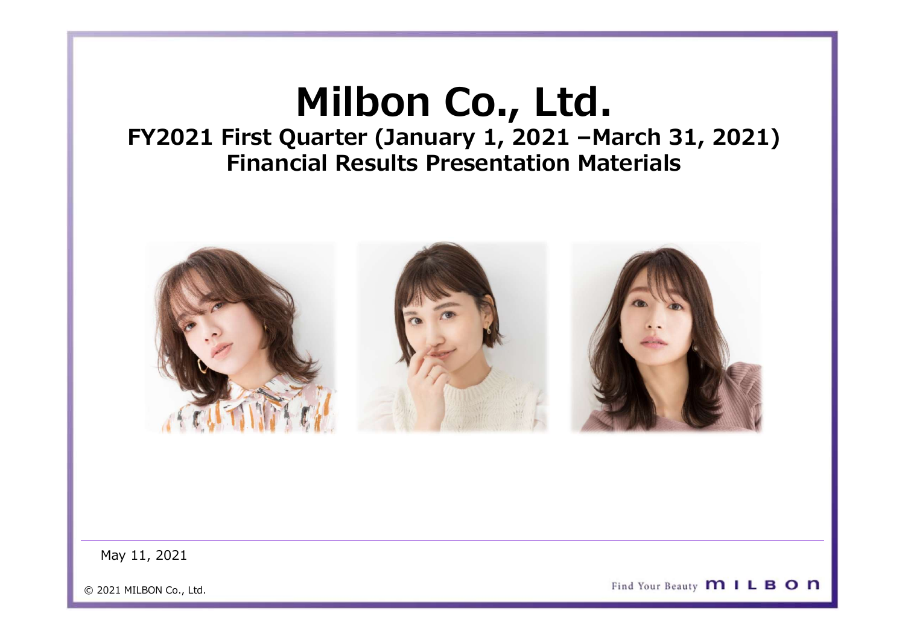# Milbon Co., Ltd.<br>Unilbon Co., Ltd.<br>Uniter (January 1, 2021 – March 31, 2021)<br>Mill Results Presentation Materials FY2021 First Quarter (January 1, 2021 –March 31, 2021) Financial Results Presentation Materials

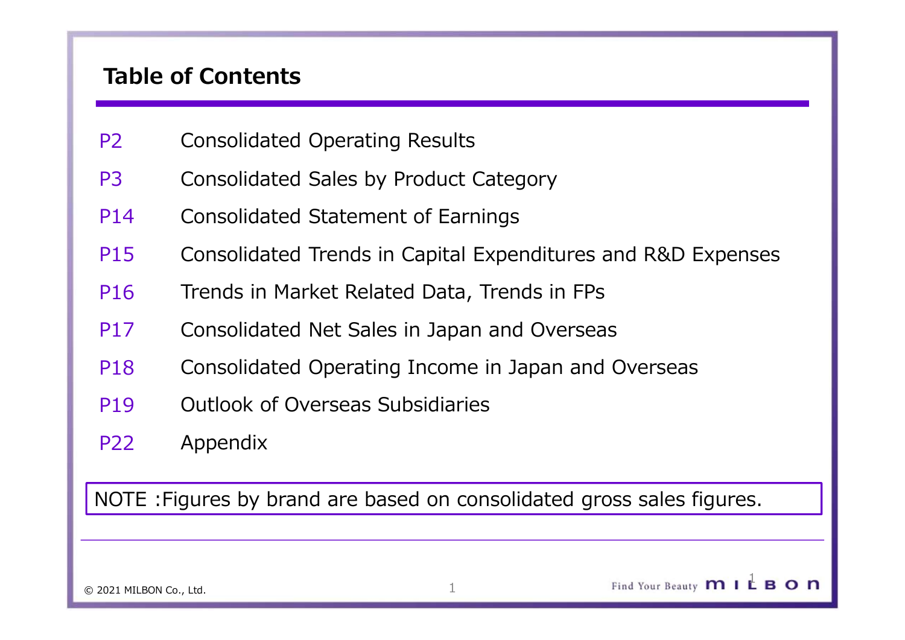# Table of Contents

- P2 Consolidated Operating Results
- P3 Consolidated Sales by Product Category
- P14 Consolidated Statement of Earnings
- P15 Consolidated Trends in Capital Expenditures and R&D Expenses
- P16 Trends in Market Related Data, Trends in FPs
- P17 Consolidated Net Sales in Japan and Overseas
- P18 Consolidated Operating Income in Japan and Overseas
- P19 Outlook of Overseas Subsidiaries
- P22 Appendix

NOTE :Figures by brand are based on consolidated gross sales figures.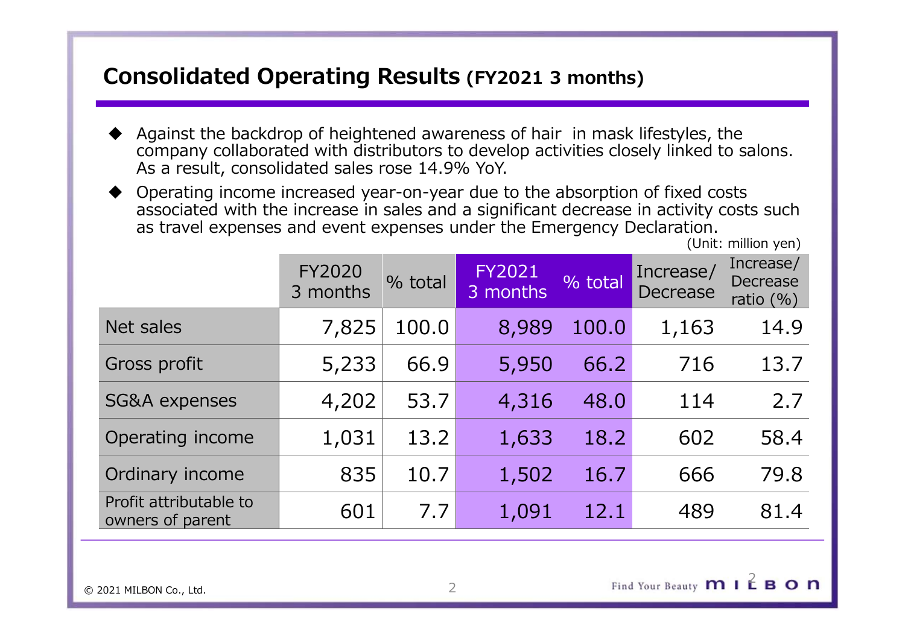# Consolidated Operating Results (FY2021 3 months)<br>◆ Against the backdrop of heightened awareness of hair in mask lifestyles, the

- Consolidated Operating Results (FY2021 3 months)<br>
Against the backdrop of heightened awareness of hair in mask lifestyles, the<br>
company collaborated with distributors to develop activities closely linked to salons.<br>
As a company collaborated with distributors to develop activities closely linked to salons. As a result, consolidated sales rose 14.9% YoY.
- Operating income increased year-on-year due to the absorption of fixed costs associated with the increase in sales and a significant decrease in activity costs such as travel expenses and event expenses under the Emergency Declaration.

|                                                                                                                                                                                                                                                                          | <b>Consolidated Operating Results (FY2021 3 months)</b> |         |                           |           |                              |                                               |
|--------------------------------------------------------------------------------------------------------------------------------------------------------------------------------------------------------------------------------------------------------------------------|---------------------------------------------------------|---------|---------------------------|-----------|------------------------------|-----------------------------------------------|
| Against the backdrop of heightened awareness of hair in mask lifestyles, the<br>company collaborated with distributors to develop activities closely linked to salons.<br>As a result, consolidated sales rose 14.9% YoY.                                                |                                                         |         |                           |           |                              |                                               |
| Operating income increased year-on-year due to the absorption of fixed costs<br>associated with the increase in sales and a significant decrease in activity costs such<br>as travel expenses and event expenses under the Emergency Declaration.<br>(Unit: million yen) |                                                         |         |                           |           |                              |                                               |
|                                                                                                                                                                                                                                                                          | <b>FY2020</b><br>3 months                               | % total | <b>FY2021</b><br>3 months | $%$ total | Increase/<br><b>Decrease</b> | Increase/<br><b>Decrease</b><br>ratio $(\% )$ |
| Net sales                                                                                                                                                                                                                                                                | 7,825                                                   | 100.0   | 8,989                     | 100.0     | 1,163                        | 14.9                                          |
| Gross profit                                                                                                                                                                                                                                                             | 5,233                                                   | 66.9    | 5,950                     | 66.2      | 716                          | 13.7                                          |
| SG&A expenses                                                                                                                                                                                                                                                            | 4,202                                                   | 53.7    | 4,316                     | 48.0      | 114                          | 2.7                                           |
| Operating income                                                                                                                                                                                                                                                         | 1,031                                                   | 13.2    | 1,633                     | 18.2      | 602                          | 58.4                                          |
| Ordinary income                                                                                                                                                                                                                                                          | 835                                                     | 10.7    | 1,502                     | 16.7      | 666                          | 79.8                                          |
| Profit attributable to<br>owners of parent                                                                                                                                                                                                                               | 601                                                     | 7.7     | 1,091                     | 12.1      | 489                          | 81.4                                          |
|                                                                                                                                                                                                                                                                          |                                                         |         |                           |           |                              |                                               |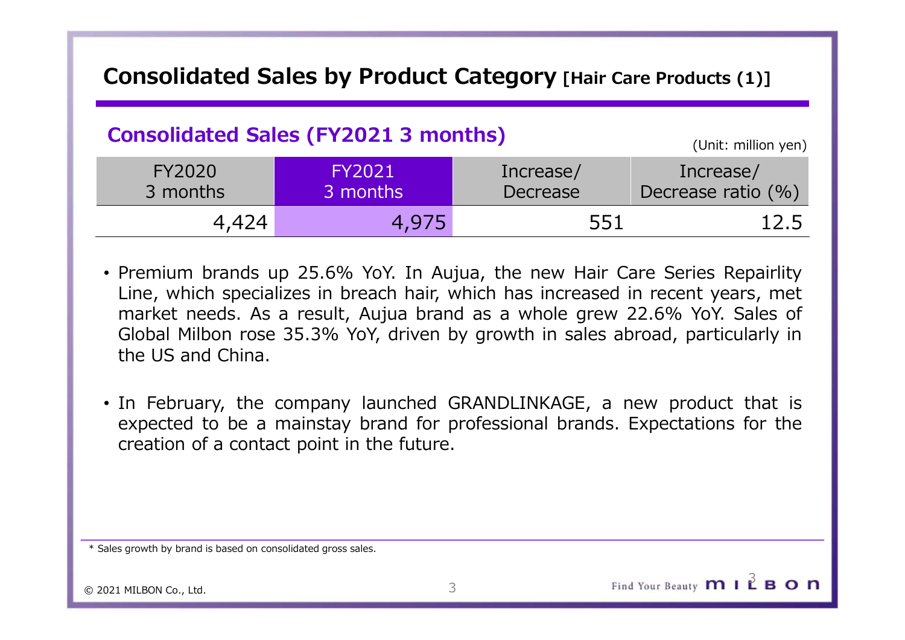# Consolidated Sales by Product Category [Hair Care Products (1)]<br>
Consolidated Sales (FY2021 3 months)

# Consolidated Sales (FY2021 3 months)

|               |                                             |                              | Consolidated Sales by Product Category [Hair Care Products (1)] |
|---------------|---------------------------------------------|------------------------------|-----------------------------------------------------------------|
|               | <b>Consolidated Sales (FY2021 3 months)</b> |                              |                                                                 |
|               |                                             |                              | (Unit: million yen)                                             |
| <b>FY2020</b> | <b>FY2021</b><br>3 months                   | Increase/<br><b>Decrease</b> | Increase/<br>Decrease ratio $(\% )$                             |
| 3 months      |                                             |                              |                                                                 |

- **onsolidated Sales by Product Category** [Hair Care Products (1)]<br>
Consolidated Sales (FY2021 3 months)<br>
FY2020<br>
3 months<br>
4,424<br>
4,975<br>
Premium brands up 25.6% YoY. In Aujua, the new Hair Care Series Repairlity<br>
Line, whic **onsolidated Sales by Product Category** [Hair Care Products (1)]<br>
Consolidated Sales (FY2021 3 months)<br>
FY2020<br>
3 months<br>
4,424<br>
4,975<br>
Premium brands up 25.6% YoY. In Aujua, the new Hair Care Series Repairlity<br>
Line, whic **CONSIDERED MILBON CONSIDERED MILBON CONSIDERED MILBON REVAIDS (Unit: million yen)**<br>
FY2020<br>
Submuths<br>
FY2021 Increase/<br>
Decrease Decrease Decrease ratio (%)<br>
4,424 4,975 551 12.5<br>
Premium brands up 25.6% YoY. In Aujua, t **Consolidated Sales by Product Category [Hair Care Products (1)]**<br>
Consolidated Sales (FY2021 3 months) (Unit: million yen)<br>
FY2020 FY2021 Increase/ Decrease Decrease (%)<br>
3 months<br>
4,424 4,975 551 12.5<br>
Premium brands up expected to be a mainstay brand for professional brands. Expectations for the<br>premium brands up 25.6% YoY. In Aujua, the new Hair Care Series Repairlity<br>Line, which specializes in breach hair, which has increased in recent FY2020<br>
3 months<br>
3 months<br>
3 months<br>
25.6% YoY. In Aujua, the new Hair Care Series Repuise in breach hair, which has increased in recent years<br>
25.6% YoY. In Aujua, the new Hair Care Series Repuise Server where the series
- 

\* Sales growth by brand is based on consolidated gross sales.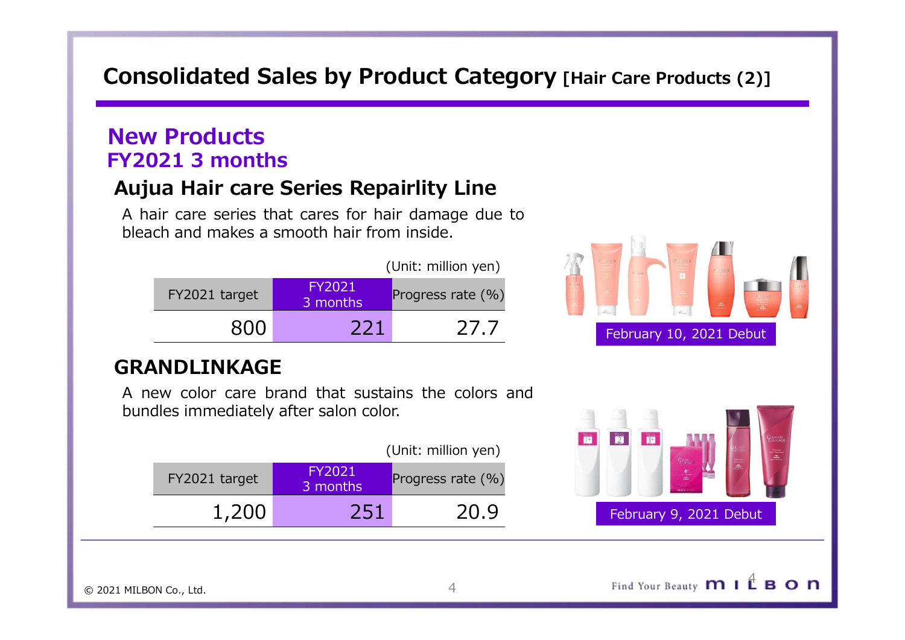# Consolidated Sales by Product Category [Hair Care Products (2)]<br>New Products Consolidated Sales by Product Category [Hair Care Products (2)]<br>New Products<br>FY2021 3 months<br>Aujua Hair care Series Repairlity Line<br>A hair care series that cares for hair damage due to<br>bleach and makes a smooth hair from i **SCREET SERVIET SERVIET SERVIET AND A HAIR CAREGOTY (Mair Care Products (2)]**<br> **A hair care Series Repairlity Line**<br>
A hair care series that cares for hair damage due to<br>
bleach and makes a smooth hair from inside.<br>
(Unit: **bleach and makes a smooth hair from inside.**<br> **bleach and makes a smooth hair from inside.**<br> **bleach and makes a smooth hair from inside.**<br> **bleach and makes a smooth hair from inside.**<br> **bleach and makes a smooth hair fr**

# New Products FY2021 3 months

| lew Products<br>Y2021 3 months                |                    |                                                      |                  |
|-----------------------------------------------|--------------------|------------------------------------------------------|------------------|
| <b>Aujua Hair care Series Repairlity Line</b> |                    |                                                      |                  |
| bleach and makes a smooth hair from inside.   |                    | A hair care series that cares for hair damage due to |                  |
|                                               |                    | (Unit: million yen)                                  |                  |
| FY2021 target                                 | FY2021<br>3 months | Progress rate (%)                                    |                  |
| 800                                           | 221                | 27.7                                                 | February 10, 202 |
| <b>GRANDLINKAGE</b>                           |                    |                                                      |                  |
| bundles immediately after salon color.        |                    | A new color care brand that sustains the colors and  |                  |
|                                               |                    | (Unit: million yen)                                  |                  |
|                                               | FY2021             |                                                      |                  |

# GRANDLINKAGE

|               |                           | (Unit: million yen)  | u u | $\frac{3}{2}$ |
|---------------|---------------------------|----------------------|-----|---------------|
| FY2021 target | <b>FY2021</b><br>3 months | Progress rate $(\%)$ |     |               |
| 1,200         | 251                       | 20.9                 |     | Februa        |



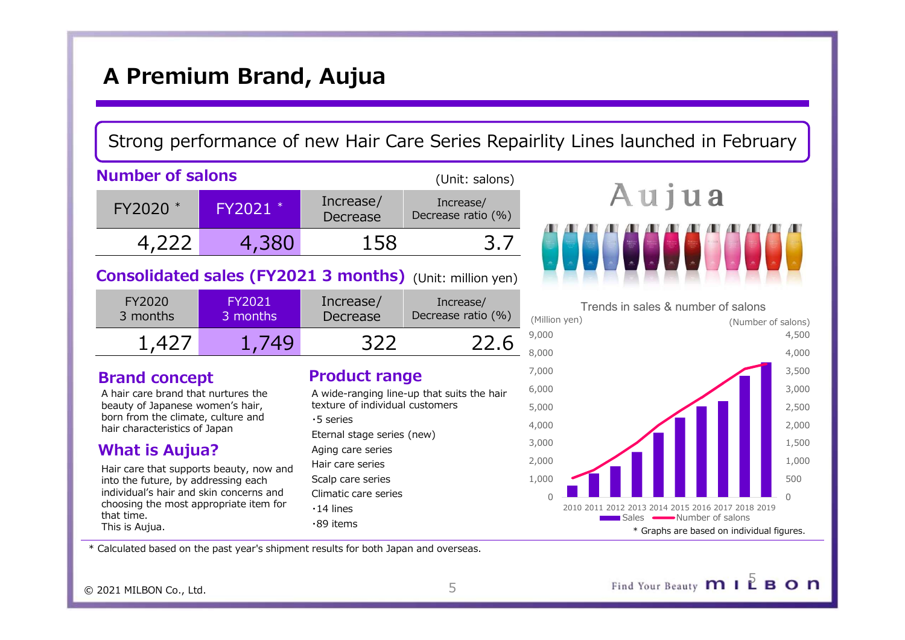# A Premium Brand, Aujua

FY2020 \* FY2021 \* Increase, Increase, Increase, Increase, Increase, Increase, Increase, Increase, Increase, Increase, Increase, Increase, Increase, Increase, Increase, Increase, Increase, Increase, Increase, Increase, Incr Increase/ Premium Brand, Aujua<br>
Premium Brand, Aujua<br>
Premium Brand, Aujua<br>
Peresse (Unit: salons)<br>
Premium Contains (Unit: salons)<br>
A U j U a<br>
4,222 4,380 158 3.7<br>
Polidated sales (FY2021 3 months) (Unit: million yen)<br>
Premium Cont Number of salons **A Premium Brand, Aujua**<br>
Strong performance of new Hair Care Series Repairlity Lines launched<br>
Number of salons<br>
FY2020 \* FY2021 \* Increase/<br>
4,222 4,380 158 3.7<br>
Consolidated sales (FY2021 3 months) (Unit: million yen)<br> (Unit: salons) **A Premium Brand, Aujua**<br>
Strong performance of new Hair Care Series Repairlity Lines launched in February<br>
umber of salons<br>
Figure 1. Therease/<br>
Figure 1. Therease/<br>
Figure 1. Therease/<br>
A **u i u a Premium Brand, Aujua**<br>
Der of salons<br>
2020 \* FY2021 \*  $\frac{1}{\text{Decrease}}$   $\frac{1}{\text{Decrease}}$   $\frac{1}{\text{ncrcases}}$  (Unit: salons)<br>
2020 \* FY2021 \*  $\frac{1}{\text{ncrcases}}$   $\frac{1}{\text{ncrcases}}$   $\frac{1}{\text{ncrcases}}$   $\frac{1}{\text{ncrcases}}$   $\frac{1}{\text{ncrcases}}$   $\frac{1}{\text{ncrcases}}$ 

| FY2020     | FY2021   | Increase/ | Increase/          | Trends in sales |
|------------|----------|-----------|--------------------|-----------------|
| 3 months   | 3 months | Decrease  | Decrease ratio (%) | (Million ven)   |
| $\Delta$ ) | 140      | つつつ       |                    | 9,000<br>8.000  |

## Brand concept

A hair care brand that nurtures the beauty of Japanese women's hair, born from the climate, culture and hair characteristics of Japan

# What is Aujua?

Hair care that supports beauty, now and into the future, by addressing each individual's hair and skin concerns and choosing the most appropriate item for that time. This is Aujua.

# Product range and the state of  $^{7,000}$

| A wide-ranging line-up that suits the hair | v,uuu |                |
|--------------------------------------------|-------|----------------|
| texture of individual customers            | 5,000 |                |
| ·5 series                                  | 4,000 |                |
| Eternal stage series (new)                 |       |                |
| Aging care series                          | 3,000 |                |
| Hair care series                           | 2,000 |                |
| Scalp care series                          | 1,000 |                |
| Climatic care series                       | 0     |                |
| $\cdot$ 14 lines                           |       | 2010 2011 2012 |
| $\cdot$ 89 items                           |       |                |





\* Calculated based on the past year's shipment results for both Japan and overseas.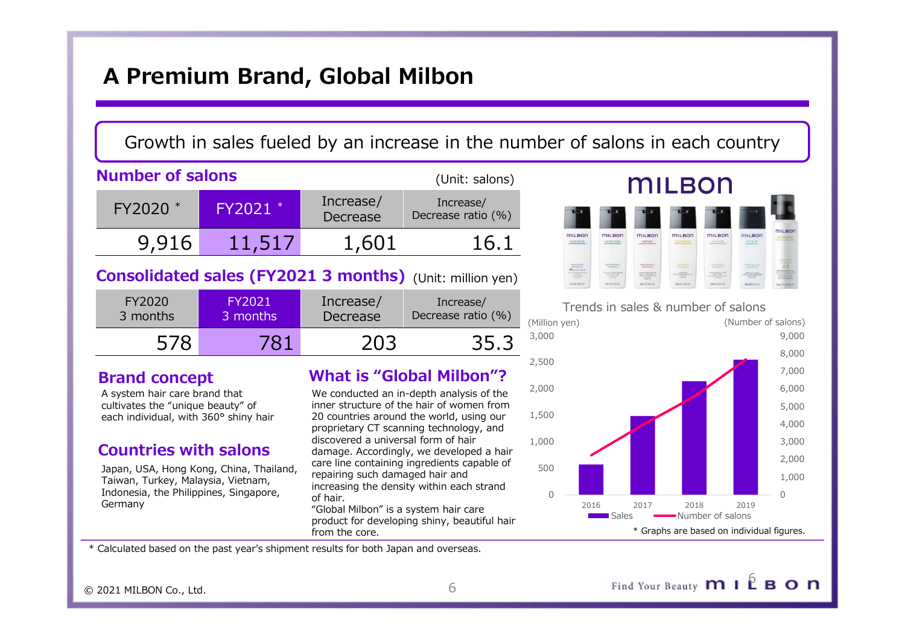# A Premium Brand, Global Milbon

# Growth in sales fueled by an increase in the number of salons in each country

|                                                                                                                                                                     | A Premium Brand, Global Milbon          |                                                                        |                                                                                                                                                                                                                                                                                                            |                                         |                                                                                                                                                                                                                                                                                                                                                                                                      |                                                                                                                  |                                                                                                                                                                                                                                                                                                                                     |              |
|---------------------------------------------------------------------------------------------------------------------------------------------------------------------|-----------------------------------------|------------------------------------------------------------------------|------------------------------------------------------------------------------------------------------------------------------------------------------------------------------------------------------------------------------------------------------------------------------------------------------------|-----------------------------------------|------------------------------------------------------------------------------------------------------------------------------------------------------------------------------------------------------------------------------------------------------------------------------------------------------------------------------------------------------------------------------------------------------|------------------------------------------------------------------------------------------------------------------|-------------------------------------------------------------------------------------------------------------------------------------------------------------------------------------------------------------------------------------------------------------------------------------------------------------------------------------|--------------|
|                                                                                                                                                                     |                                         |                                                                        | Growth in sales fueled by an increase in the number of salons in ea                                                                                                                                                                                                                                        |                                         |                                                                                                                                                                                                                                                                                                                                                                                                      |                                                                                                                  |                                                                                                                                                                                                                                                                                                                                     |              |
| <b>Number of salons</b>                                                                                                                                             |                                         |                                                                        | (Unit: salons)                                                                                                                                                                                                                                                                                             |                                         |                                                                                                                                                                                                                                                                                                                                                                                                      |                                                                                                                  | mil F                                                                                                                                                                                                                                                                                                                               |              |
| FY2020 *                                                                                                                                                            | FY2021                                  | Increase/<br>Decrease                                                  | Increase/<br>Decrease ratio (%)                                                                                                                                                                                                                                                                            |                                         |                                                                                                                                                                                                                                                                                                                                                                                                      |                                                                                                                  |                                                                                                                                                                                                                                                                                                                                     |              |
| 9,916                                                                                                                                                               | 11,517                                  | 1,601                                                                  | 16.1                                                                                                                                                                                                                                                                                                       |                                         | SMOOTH                                                                                                                                                                                                                                                                                                                                                                                               | <b>MILBOR</b><br>MOISTURE                                                                                        | <b>MILBON</b><br>KEPAIK                                                                                                                                                                                                                                                                                                             |              |
| <b>Consolidated sales (FY2021 3 months)</b> (Unit: million yen)                                                                                                     |                                         |                                                                        |                                                                                                                                                                                                                                                                                                            |                                         | $\frac{M_{\text{CDF-1}}}{M_{\text{CDF-1}}}\frac{M_{\text{CDF-1}}}{M_{\text{CDF-1}}}\frac{M_{\text{CDF-1}}}{M_{\text{CDF-1}}}\frac{M_{\text{CDF-1}}}{M_{\text{CDF-1}}}\frac{M_{\text{CDF-1}}}{M_{\text{CDF-1}}}\frac{M_{\text{CDF-1}}}{M_{\text{CDF-1}}}\frac{M_{\text{CDF-1}}}{M_{\text{CDF-1}}}\frac{M_{\text{CDF-1}}}{M_{\text{CDF-1}}}\frac{M_{\text{CDF-1}}}{M_{\text{CDF-1}}}\frac{M$<br>necuri | $\frac{1}{2} \left( \frac{1}{2} \right) \left( \frac{1}{2} \right) \left( \frac{1}{2} \right)$<br><b>BOOTHER</b> | <b>HEIGEIN</b><br>$\begin{tabular}{ c c c c } \hline $0$ & $0$ & $0$ & $0$ & $0$ & $0$ \\ \hline $0$ & $0$ & $0$ & $0$ & $0$ & $0$ \\ \hline $0$ & $0$ & $0$ & $0$ & $0$ & $0$ \\ \hline $0$ & $0$ & $0$ & $0$ & $0$ \\ \hline $0$ & $0$ & $0$ & $0$ & $0$ \\ \hline $0$ & $0$ & $0$ & $0$ & $0$ \\ \hline \end{tabular}$<br>meenni | THE<br>menus |
| FY2020<br>3 months                                                                                                                                                  | <b>FY2021</b><br>3 months               | Increase/<br>Increase/<br>Decrease ratio (%)<br>Decrease               |                                                                                                                                                                                                                                                                                                            | (Million yen)                           |                                                                                                                                                                                                                                                                                                                                                                                                      | Trends in sales & num                                                                                            |                                                                                                                                                                                                                                                                                                                                     |              |
| 578                                                                                                                                                                 | 781                                     | 203                                                                    | 35.3                                                                                                                                                                                                                                                                                                       | 3,000                                   |                                                                                                                                                                                                                                                                                                                                                                                                      |                                                                                                                  |                                                                                                                                                                                                                                                                                                                                     |              |
| <b>Brand concept</b><br>A system hair care brand that<br>cultivates the "unique beauty" of<br>each individual, with 360° shiny hair<br><b>Countries with salons</b> | Japan, USA, Hong Kong, China, Thailand, | discovered a universal form of hair<br>repairing such damaged hair and | <b>What is "Global Milbon"?</b><br>We conducted an in-depth analysis of the<br>inner structure of the hair of women from<br>20 countries around the world, using our<br>proprietary CT scanning technology, and<br>damage. Accordingly, we developed a hair<br>care line containing ingredients capable of | 2,500<br>2,000<br>1,500<br>1,000<br>500 |                                                                                                                                                                                                                                                                                                                                                                                                      |                                                                                                                  |                                                                                                                                                                                                                                                                                                                                     |              |

| FY2020   | FY2021   | Increase/ | Increase/          | Tr           |
|----------|----------|-----------|--------------------|--------------|
| 3 months | 3 months | Decrease  | Decrease ratio (%) | (Million yen |
|          | 781      | 203       | 35.3               | 3,000        |

## Brand concept

# Countries with salons

Japan, USA, Hong Kong, China, Thailand, Taiwan, Turkey, Malaysia, Vietnam, Indonesia, the Philippines, Singapore, Germany

# What is "Global Milbon"?

We conducted an in-depth analysis of the inner structure of the hair of women from<br>20 countries around the world using our  $1.500$ 20 countries around the world, using our proprietary CT scanning technology, and discovered a universal form of hair 1,000 damage. Accordingly, we developed a hair care line containing ingredients capable of repairing such damaged hair and increasing the density within each strand of hair.

"Global Milbon" is a system hair care from the core.





\* Calculated based on the past year's shipment results for both Japan and overseas.

© 2021 MILBON Co., Ltd. 6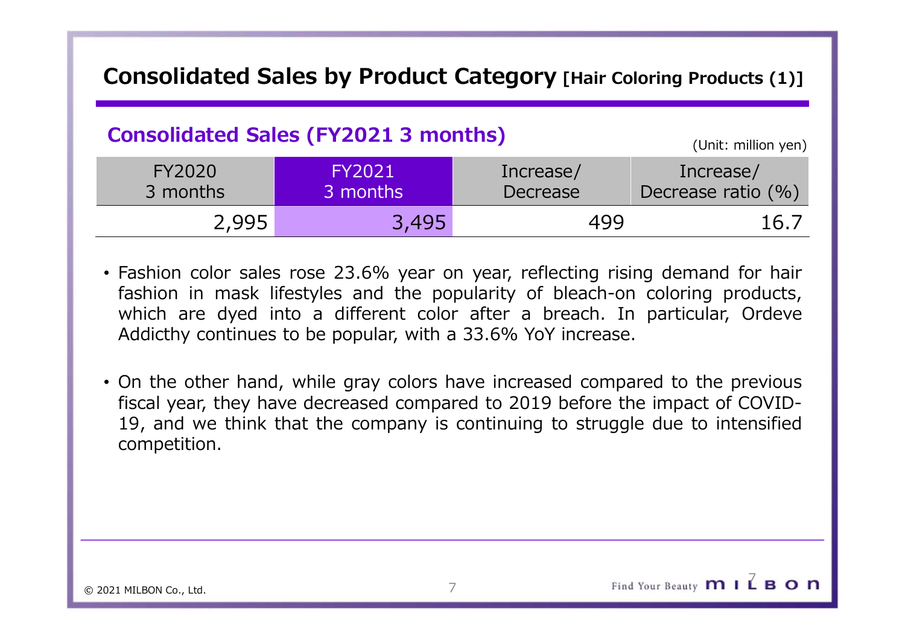# Consolidated Sales by Product Category [Hair Coloring Products (1)]<br>
Consolidated Sales (FY2021 3 months)

# Consolidated Sales (FY2021 3 months)

|                           | <b>Consolidated Sales (FY2021 3 months)</b>                                                                                                                                                                                                                                                                                                                                                                                                                                                                                                                           |                       | (Unit: million yen)             |
|---------------------------|-----------------------------------------------------------------------------------------------------------------------------------------------------------------------------------------------------------------------------------------------------------------------------------------------------------------------------------------------------------------------------------------------------------------------------------------------------------------------------------------------------------------------------------------------------------------------|-----------------------|---------------------------------|
| <b>FY2020</b><br>3 months | <b>FY2021</b><br>3 months                                                                                                                                                                                                                                                                                                                                                                                                                                                                                                                                             | Increase/<br>Decrease | Increase/<br>Decrease ratio (%) |
| 2,995                     | 3,495                                                                                                                                                                                                                                                                                                                                                                                                                                                                                                                                                                 | 499                   | 16.7                            |
| competition.              | • Fashion color sales rose 23.6% year on year, reflecting rising demand for hair<br>fashion in mask lifestyles and the popularity of bleach-on coloring products,<br>which are dyed into a different color after a breach. In particular, Ordeve<br>Addicthy continues to be popular, with a 33.6% YoY increase.<br>• On the other hand, while gray colors have increased compared to the previous<br>fiscal year, they have decreased compared to 2019 before the impact of COVID-<br>19, and we think that the company is continuing to struggle due to intensified |                       |                                 |

- 
- competition.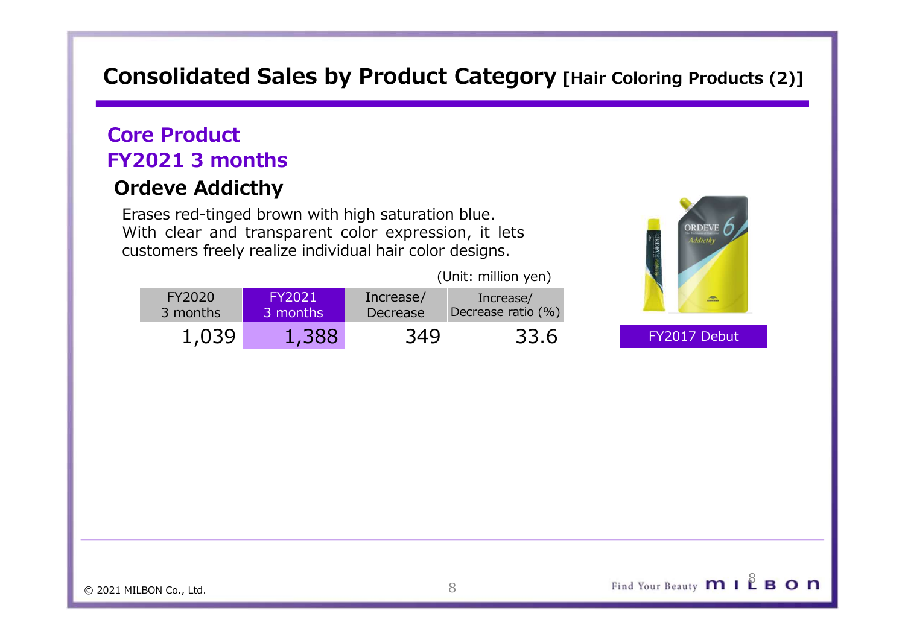# Consolidated Sales by Product Category [Hair Coloring Products (2)]<br>
Core Product

# Core Product FY2021 3 months

# Ordeve Addicthy

Example 19 and the multiple very chain coloring Products (2)]<br>
Discrept Product<br>
Praces red-tinged brown with high saturation blue.<br>
With clear and transparent color expression, it lets<br>
customers freely realize individual **EXECTS THE CONSIDER SHOP OF PRODUCT CATEGOTY [Hair Coloring Products (2)]**<br> **Ore Product**<br> **Product**<br> **Product**<br> **Product**<br> **Product**<br> **Product**<br> **Product**<br> **Product**<br> **Product**<br> **Product**<br> **Product**<br> **Product**<br> **Product CUSTAN CONSIDERED FREE SPACE OF SPACE CONSIDER FREE SPACE OF SPACE SPACE SPACE SPACE SPACE SPACE SPACE SPACE SPACE SPACE SPACE SPACE SPACE SPACE SPACE SPACE SPACE SPACE SPACE SPACE SPACE SPACE SPACE SPACE SPACE SPACE SPAC** 

| <b>ORDEVI</b><br><b>Addicth</b><br>(Unit: million yen)<br>FY2020<br><b>FY2021</b><br>Increase/<br>Increase/<br>$\triangle$<br>3 months<br><b>Decrease</b>         |                                                                  |                    | nsolidated Sales by Product Category [Hair Coloring Products (2)] |
|-------------------------------------------------------------------------------------------------------------------------------------------------------------------|------------------------------------------------------------------|--------------------|-------------------------------------------------------------------|
| ases red-tinged brown with high saturation blue.<br>ith clear and transparent color expression, it lets<br>istomers freely realize individual hair color designs. | re Product<br><b>2021 3 months</b><br>deve Addicthy <sup>.</sup> |                    |                                                                   |
|                                                                                                                                                                   |                                                                  |                    |                                                                   |
|                                                                                                                                                                   | 3 months                                                         | Decrease ratio (%) |                                                                   |
| 1,039<br>1,388<br>349<br>33.6<br>FY2017 Debut                                                                                                                     |                                                                  |                    |                                                                   |



© 2021 MILBON Co., Ltd. 8

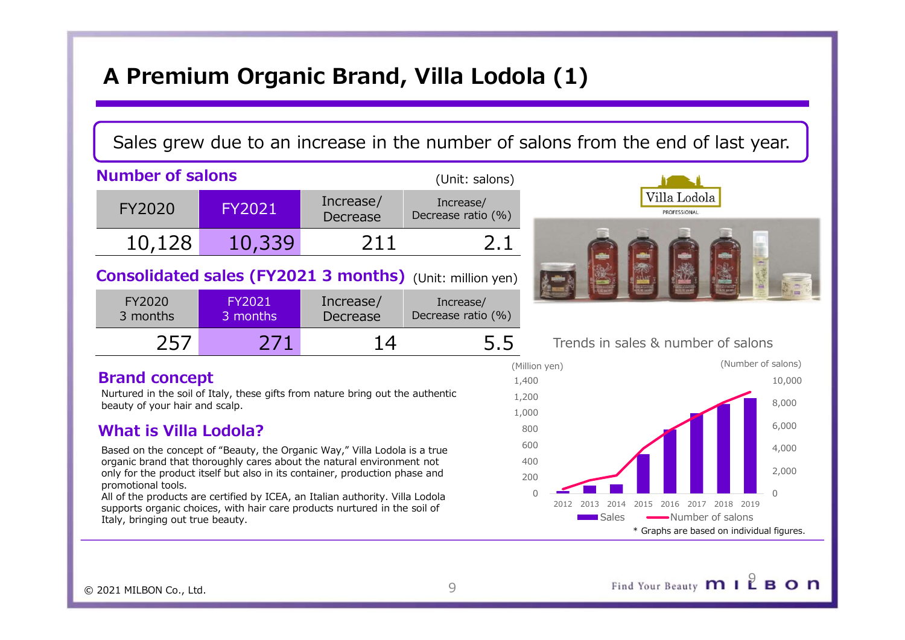# A Premium Organic Brand, Villa Lodola (1)

# Sales grew due to an increase in the number of salons from the end of last year.

| A Premium Organic Brand, Villa Lodola (1)                       |                    |                       |                                 |                                                                    |  |  |  |
|-----------------------------------------------------------------|--------------------|-----------------------|---------------------------------|--------------------------------------------------------------------|--|--|--|
|                                                                 |                    |                       |                                 |                                                                    |  |  |  |
|                                                                 |                    |                       |                                 | Sales grew due to an increase in the number of salons from the end |  |  |  |
| <b>Number of salons</b>                                         |                    |                       | (Unit: salons)                  |                                                                    |  |  |  |
| <b>FY2020</b>                                                   | <b>FY2021</b>      | Increase/<br>Decrease | Increase/<br>Decrease ratio (%) | Villa Lo<br><b>PROFESSIO</b>                                       |  |  |  |
| 10,128                                                          | 10,339             | 211                   | 2.1                             |                                                                    |  |  |  |
| <b>Consolidated sales (FY2021 3 months)</b> (Unit: million yen) |                    |                       |                                 |                                                                    |  |  |  |
| FY2020<br>3 months                                              | FY2021<br>3 months | Increase/<br>Decrease | Increase/<br>Decrease ratio (%) |                                                                    |  |  |  |
|                                                                 | n 74               | -44                   |                                 | $\sim$ $\sim$ $\sim$ $\sim$ $\sim$ $\sim$                          |  |  |  |

| FY2020   | <b>FY2021</b> | Increase/ | Increase/          |                   |
|----------|---------------|-----------|--------------------|-------------------|
| 3 months | 3 months      | Decrease  | Decrease ratio (%) |                   |
|          | ワフル           |           | 5.5                | Trends in sales & |

## Brand concept

Nurtured in the soil of Italy, these gifts from nature bring out the authentic  $1.200$ beauty of your hair and scalp.

# What is Villa Lodola?

organic brand that thoroughly cares about the natural environment not only for the product itself but also in its container, production phase and  $_{200}$ promotional tools.

All of the products are certified by ICEA, an Italian authority. Villa Lodola 2012 2013 2014 2015 2016 2017 2018 2019 supports organic choices, with hair care products nurtured in the soil of Italy, bringing out true beauty.



# Trends in sales & number of salons

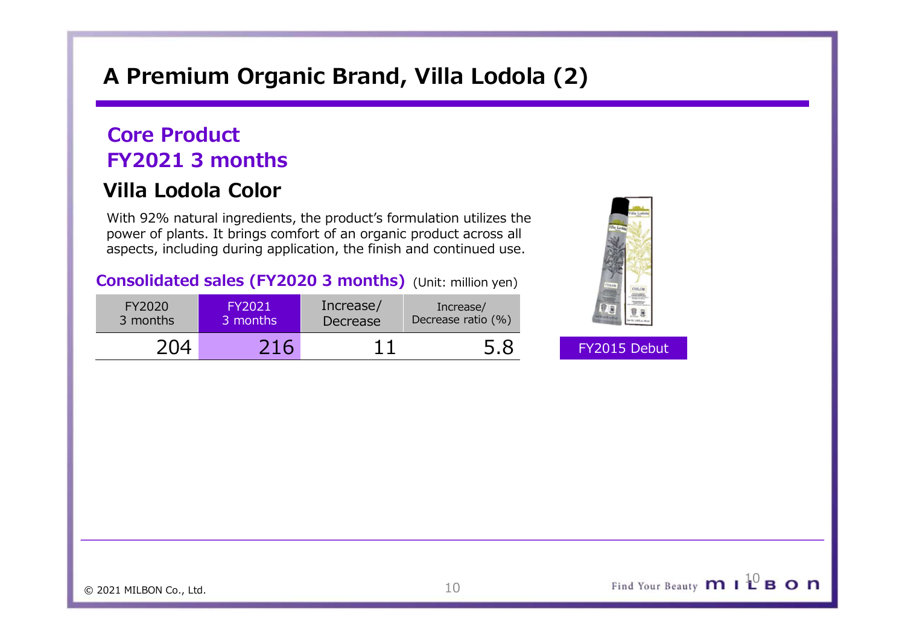# A Premium Organic Brand, Villa Lodola (2)

# Core Product FY2021 3 months

# Villa Lodola Color

|                                               |                           |                       | A Premium Organic Brand, Villa Lodola (2)                                                                                                                                                                           |              |  |
|-----------------------------------------------|---------------------------|-----------------------|---------------------------------------------------------------------------------------------------------------------------------------------------------------------------------------------------------------------|--------------|--|
| <b>Core Product</b><br><b>FY2021 3 months</b> |                           |                       |                                                                                                                                                                                                                     |              |  |
| Villa Lodola Color                            |                           |                       |                                                                                                                                                                                                                     |              |  |
|                                               |                           |                       | With 92% natural ingredients, the product's formulation utilizes the<br>power of plants. It brings comfort of an organic product across all<br>aspects, including during application, the finish and continued use. |              |  |
|                                               |                           |                       | <b>Consolidated sales (FY2020 3 months)</b> (Unit: million yen)                                                                                                                                                     |              |  |
| FY2020<br>3 months                            | <b>FY2021</b><br>3 months | Increase/<br>Decrease | Increase/<br>Decrease ratio (%)                                                                                                                                                                                     |              |  |
| 204                                           | 216                       | 11                    | 5.8                                                                                                                                                                                                                 | FY2015 Debut |  |
|                                               |                           |                       |                                                                                                                                                                                                                     |              |  |
|                                               |                           |                       |                                                                                                                                                                                                                     |              |  |

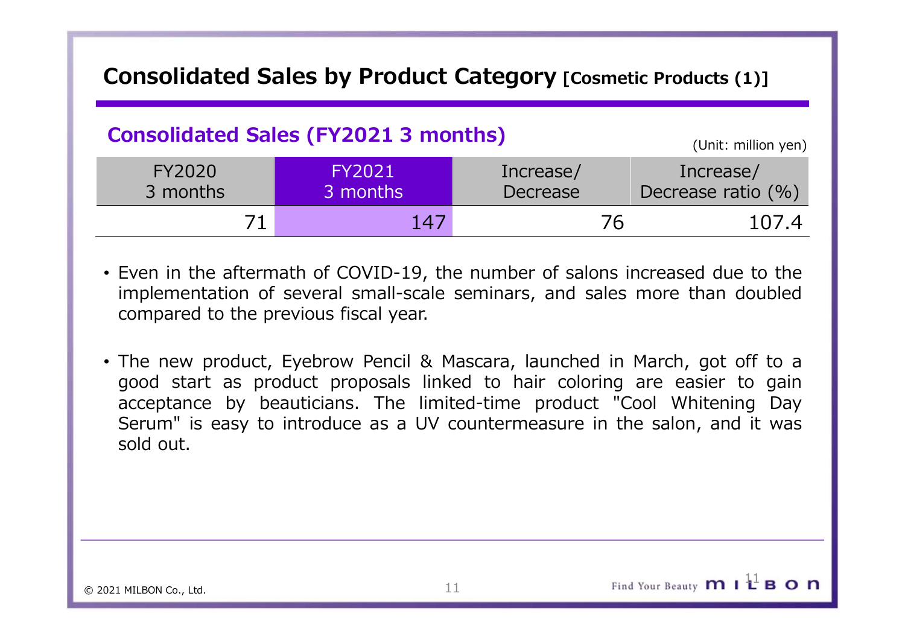# Consolidated Sales by Product Category [Cosmetic Products (1)]

# Consolidated Sales (FY2021 3 months)

|                                       | <b>Consolidated Sales by Product Category [Cosmetic Products (1)]</b>                                                                                                                                                                                                                                                                                                                                                                                                                 |                       |                                    |
|---------------------------------------|---------------------------------------------------------------------------------------------------------------------------------------------------------------------------------------------------------------------------------------------------------------------------------------------------------------------------------------------------------------------------------------------------------------------------------------------------------------------------------------|-----------------------|------------------------------------|
|                                       | <b>Consolidated Sales (FY2021 3 months)</b>                                                                                                                                                                                                                                                                                                                                                                                                                                           |                       | (Unit: million yen)                |
| <b>FY2020</b><br>3 months             | <b>FY2021</b><br>3 months                                                                                                                                                                                                                                                                                                                                                                                                                                                             | Increase/<br>Decrease | Increase/<br>Decrease ratio $(% )$ |
| 71                                    | 147                                                                                                                                                                                                                                                                                                                                                                                                                                                                                   | 76                    | 107.4                              |
| compared to the previous fiscal year. | • Even in the aftermath of COVID-19, the number of salons increased due to the<br>implementation of several small-scale seminars, and sales more than doubled<br>• The new product, Eyebrow Pencil & Mascara, launched in March, got off to a<br>good start as product proposals linked to hair coloring are easier to gain<br>acceptance by beauticians. The limited-time product "Cool Whitening Day<br>Serum" is easy to introduce as a IIV countermeasure in the salon and it was |                       |                                    |

- 
- Consolidated Sales (FY2021 3 months)<br>
FY2020 FY2021 Increase/ Increase/<br>
3 months 3 months Decrease Decrease ratio (%)<br>
71 147 76 107.4<br>
Even in the aftermath of COVID-19, the number of salons increased due to the<br>
impleme Consolidated Sales (FY2021 3 months)<br>
FY2020 FY2021 Increase/ Increase/<br>
Trease/ Decrease Exting (%)<br>
71 147 76 107.4<br>
Even in the aftermath of COVID-19, the number of salons increased due to the<br>
implementation of several Serven in the aftermath of COVID-19, the number of salons increased due to the<br>
Serven in the aftermath of COVID-19, the number of salons increased due to the<br>
implementation of several small-scale seminars, and sales more FY2020<br>
3 months<br>
71 147<br>
Even in the aftermath of COVID-19, the num<br>
implementation of several small-scale semina<br>
compared to the previous fiscal year.<br>
The new product, Eyebrow Pencil & Mascara<br>
good start as product pr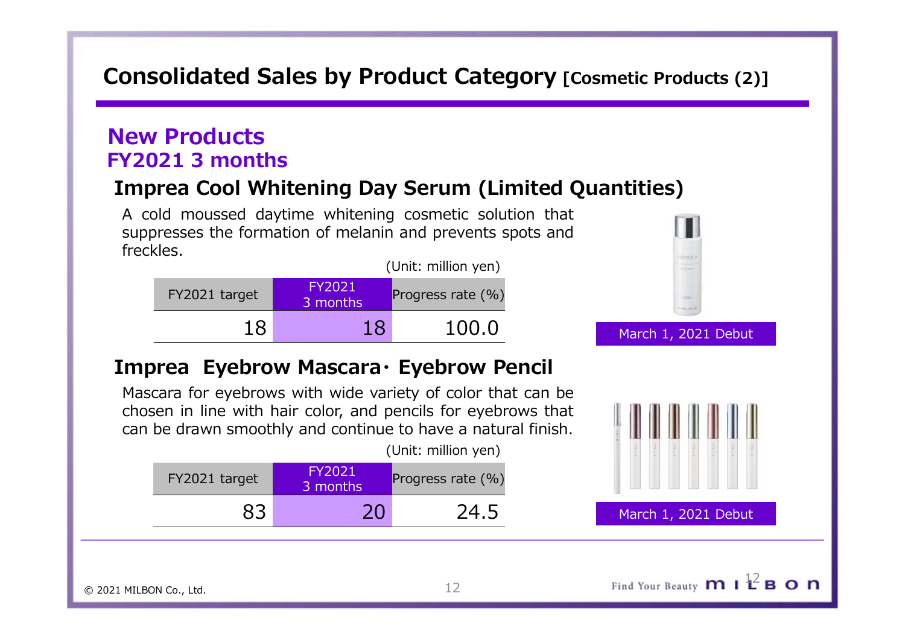# Consolidated Sales by Product Category [Cosmetic Products (2)]

# New Products FY2021 3 months

Consolidated Sales by Product Category [Cosmetic Products (2)]<br>
Vew Products<br>
Imprea Cool Whitening Day Serum (Limited Quantities)<br>
A cold moussed daytime whitening cosmetic solution that<br>
suppresses the formation of melan **Samman Cold Moussed Sales by Product Category [Cosmetic Products (2)]**<br> **A cold moussed daytime whitening Day Serum (Limited Quantities)**<br>
A cold moussed daytime whitening cosmetic solution that<br>
suppresses the formation **Suppresses the formation of melanin and prevents of Melanin and prevents and prevents.**<br> **Suppresses the formation of melanin and prevents spots and freckles.**<br>
Expo<sub>21</sub> target **CO211 Exports spots and freckles.**<br>
Expor freckles.



(Unit: million yen)

| FY2021 target | FY2021<br>3 months | Progress rate (%) |       |
|---------------|--------------------|-------------------|-------|
|               | $\cap$             | 24.5              | March |



March 1, 2021 Debut

March 1, 2021 Debut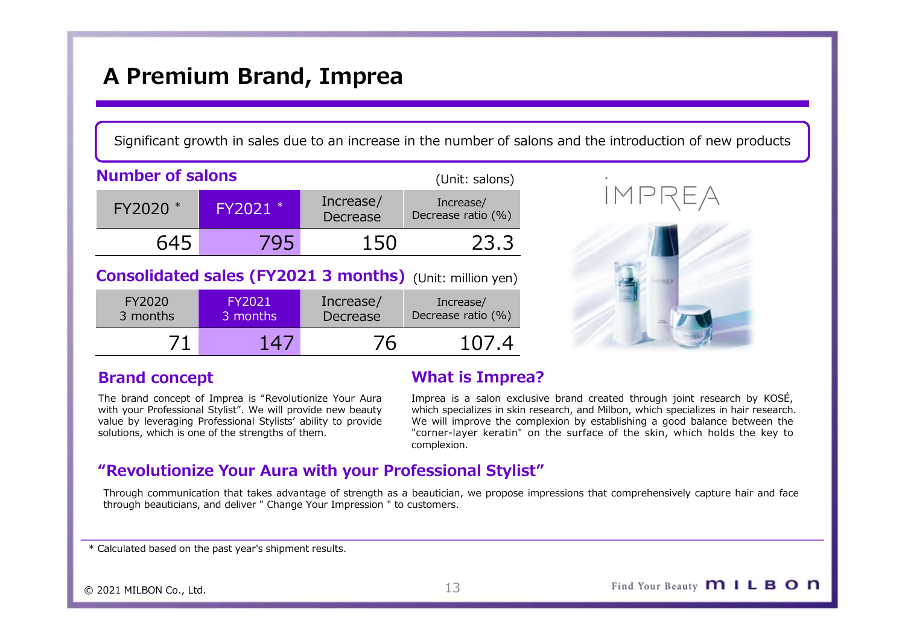# A Premium Brand, Imprea

|                         | A Premium Brand, Imprea                                                                                                                                                                                                                      |                       |                                                                 |                                                                                                                                                                                                                                                                                                                            |
|-------------------------|----------------------------------------------------------------------------------------------------------------------------------------------------------------------------------------------------------------------------------------------|-----------------------|-----------------------------------------------------------------|----------------------------------------------------------------------------------------------------------------------------------------------------------------------------------------------------------------------------------------------------------------------------------------------------------------------------|
|                         |                                                                                                                                                                                                                                              |                       |                                                                 | Significant growth in sales due to an increase in the number of salons and the introduction of new products                                                                                                                                                                                                                |
| <b>Number of salons</b> |                                                                                                                                                                                                                                              |                       | (Unit: salons)                                                  |                                                                                                                                                                                                                                                                                                                            |
| FY2020 *                | FY2021 *                                                                                                                                                                                                                                     | Increase/<br>Decrease | Increase/<br>Decrease ratio (%)                                 | IMPREA                                                                                                                                                                                                                                                                                                                     |
| 645                     | 795                                                                                                                                                                                                                                          | 150                   | 23.3                                                            |                                                                                                                                                                                                                                                                                                                            |
|                         |                                                                                                                                                                                                                                              |                       | <b>Consolidated sales (FY2021 3 months)</b> (Unit: million yen) |                                                                                                                                                                                                                                                                                                                            |
| FY2020<br>3 months      | <b>FY2021</b><br>3 months                                                                                                                                                                                                                    | Increase/<br>Decrease | Increase/<br>Decrease ratio (%)                                 |                                                                                                                                                                                                                                                                                                                            |
| 71                      | 147                                                                                                                                                                                                                                          | 76                    | 107.4                                                           |                                                                                                                                                                                                                                                                                                                            |
| <b>Brand concept</b>    |                                                                                                                                                                                                                                              |                       | <b>What is Imprea?</b>                                          |                                                                                                                                                                                                                                                                                                                            |
|                         | The brand concept of Imprea is "Revolutionize Your Aura<br>with your Professional Stylist". We will provide new beauty<br>value by leveraging Professional Stylists' ability to provide<br>solutions, which is one of the strengths of them. |                       | complexion.                                                     | Imprea is a salon exclusive brand created through joint research by KOSÉ,<br>which specializes in skin research, and Milbon, which specializes in hair research.<br>We will improve the complexion by establishing a good balance between the<br>"corner-layer keratin" on the surface of the skin, which holds the key to |
|                         |                                                                                                                                                                                                                                              |                       | "Revolutionize Your Aura with your Professional Stylist"        |                                                                                                                                                                                                                                                                                                                            |
|                         |                                                                                                                                                                                                                                              |                       |                                                                 | Through communication that takes advantage of strength as a heautician we propose impressions that comprehensively canture hair and face                                                                                                                                                                                   |

| FY2020 *             | FY2021 *                                                                                                                                                                                                                                     | THE CASE<br>Decrease  | IIILI CASC/<br>Decrease ratio (%)                               |                                                                                                                                                                                                                                                                                                                            |
|----------------------|----------------------------------------------------------------------------------------------------------------------------------------------------------------------------------------------------------------------------------------------|-----------------------|-----------------------------------------------------------------|----------------------------------------------------------------------------------------------------------------------------------------------------------------------------------------------------------------------------------------------------------------------------------------------------------------------------|
| 645                  | 795                                                                                                                                                                                                                                          | 150                   | 23.3                                                            |                                                                                                                                                                                                                                                                                                                            |
|                      |                                                                                                                                                                                                                                              |                       | <b>Consolidated sales (FY2021 3 months)</b> (Unit: million yen) |                                                                                                                                                                                                                                                                                                                            |
| FY2020<br>3 months   | FY2021<br>3 months                                                                                                                                                                                                                           | Increase/<br>Decrease | Increase/<br>Decrease ratio (%)                                 |                                                                                                                                                                                                                                                                                                                            |
| 71                   | 147                                                                                                                                                                                                                                          | 76                    | 107.4                                                           |                                                                                                                                                                                                                                                                                                                            |
| <b>Brand concept</b> |                                                                                                                                                                                                                                              |                       | <b>What is Imprea?</b>                                          |                                                                                                                                                                                                                                                                                                                            |
|                      | The brand concept of Imprea is "Revolutionize Your Aura<br>with your Professional Stylist". We will provide new beauty<br>value by leveraging Professional Stylists' ability to provide<br>solutions, which is one of the strengths of them. |                       | complexion.                                                     | Imprea is a salon exclusive brand created through joint research by KOSÉ,<br>which specializes in skin research, and Milbon, which specializes in hair research.<br>We will improve the complexion by establishing a good balance between the<br>"corner-layer keratin" on the surface of the skin, which holds the key to |
|                      |                                                                                                                                                                                                                                              |                       | "Revolutionize Your Aura with your Professional Stylist"        |                                                                                                                                                                                                                                                                                                                            |
|                      | through beauticians, and deliver " Change Your Impression " to customers.                                                                                                                                                                    |                       |                                                                 | Through communication that takes advantage of strength as a beautician, we propose impressions that comprehensively capture hair and face                                                                                                                                                                                  |
|                      | Calculated based on the past year's shipment results.                                                                                                                                                                                        |                       |                                                                 |                                                                                                                                                                                                                                                                                                                            |





## Brand concept

# What is Imprea?

# "Revolutionize Your Aura with your Professional Stylist"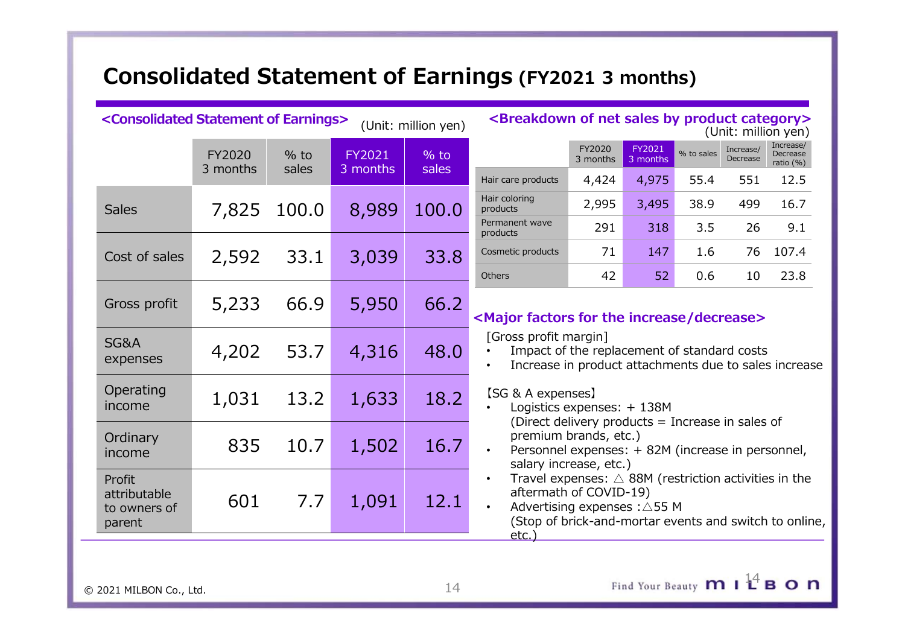|                                                              | <b>Consolidated Statement of Earnings (FY2021 3 months)</b> |                 |                    |                     |                                                                                                                                                                                                                       |                    |                    |            |                       |                                       |
|--------------------------------------------------------------|-------------------------------------------------------------|-----------------|--------------------|---------------------|-----------------------------------------------------------------------------------------------------------------------------------------------------------------------------------------------------------------------|--------------------|--------------------|------------|-----------------------|---------------------------------------|
|                                                              |                                                             |                 |                    |                     |                                                                                                                                                                                                                       |                    |                    |            |                       |                                       |
|                                                              |                                                             |                 |                    |                     |                                                                                                                                                                                                                       |                    |                    |            |                       |                                       |
|                                                              |                                                             |                 |                    |                     |                                                                                                                                                                                                                       |                    |                    |            |                       |                                       |
|                                                              |                                                             |                 |                    |                     |                                                                                                                                                                                                                       |                    |                    |            |                       |                                       |
|                                                              |                                                             |                 |                    |                     |                                                                                                                                                                                                                       |                    |                    |            |                       |                                       |
| <consolidated earnings="" of="" statement=""></consolidated> |                                                             |                 |                    | (Unit: million yen) | <breakdown by="" category="" net="" of="" product="" sales=""></breakdown>                                                                                                                                            |                    |                    |            |                       | (Unit: million yen)                   |
|                                                              | <b>FY2020</b><br>3 months                                   | $%$ to<br>sales | FY2021<br>3 months | $%$ to<br>sales     |                                                                                                                                                                                                                       | FY2020<br>3 months | FY2021<br>3 months | % to sales | Increase/<br>Decrease | Increase/<br>Decrease<br>ratio $(\%)$ |
|                                                              |                                                             |                 |                    |                     | Hair care products<br>Hair coloring                                                                                                                                                                                   | 4,424              | 4,975              | 55.4       | 551                   | 12.5                                  |
| <b>Sales</b>                                                 | 7,825                                                       | 100.0           | 8,989              | 100.0               | products<br>Permanent wave                                                                                                                                                                                            | 2,995              | 3,495              | 38.9       | 499                   | 16.7                                  |
|                                                              |                                                             |                 |                    |                     | products<br>Cosmetic products                                                                                                                                                                                         | 291<br>71          | 318<br>147         | 3.5<br>1.6 | 26                    | 9.1<br>76 107.4                       |
| Cost of sales                                                | 2,592                                                       | 33.1            | 3,039              | 33.8                | Others                                                                                                                                                                                                                | 42                 | 52                 | 0.6        | 10                    | 23.8                                  |
| Gross profit                                                 | 5,233                                                       | 66.9            | 5,950              | 66.2                | <major decrease="" factors="" for="" increase="" the=""></major>                                                                                                                                                      |                    |                    |            |                       |                                       |
| SG&A<br>expenses                                             | 4,202                                                       | 53.7            | 4,316              | 48.0                | [Gross profit margin]<br>Impact of the replacement of standard costs<br>$\bullet$<br>Increase in product attachments due to sales increase                                                                            |                    |                    |            |                       |                                       |
| Operating<br>income                                          | 1,031                                                       | 13.2            | 1,633              | 18.2                | [SG & A expenses]<br>Logistics expenses: + 138M<br>$\bullet$                                                                                                                                                          |                    |                    |            |                       |                                       |
| Ordinary<br>income                                           | 835                                                         | 10.7            | 1,502              | 16.7                | (Direct delivery products = Increase in sales of<br>premium brands, etc.)<br>$\bullet$<br>Personnel expenses: + 82M (increase in personnel,<br>salary increase, etc.)                                                 |                    |                    |            |                       |                                       |
| Profit<br>attributable<br>to owners of<br>parent             | 601                                                         | 7.7             | 1,091              | 12.1                | Travel expenses: $\triangle$ 88M (restriction activities in the<br>$\bullet$<br>aftermath of COVID-19)<br>$\bullet$<br>Advertising expenses : △55 M<br>(Stop of brick-and-mortar events and switch to online,<br>etc. |                    |                    |            |                       |                                       |

© 2021 MILBON Co., Ltd. 14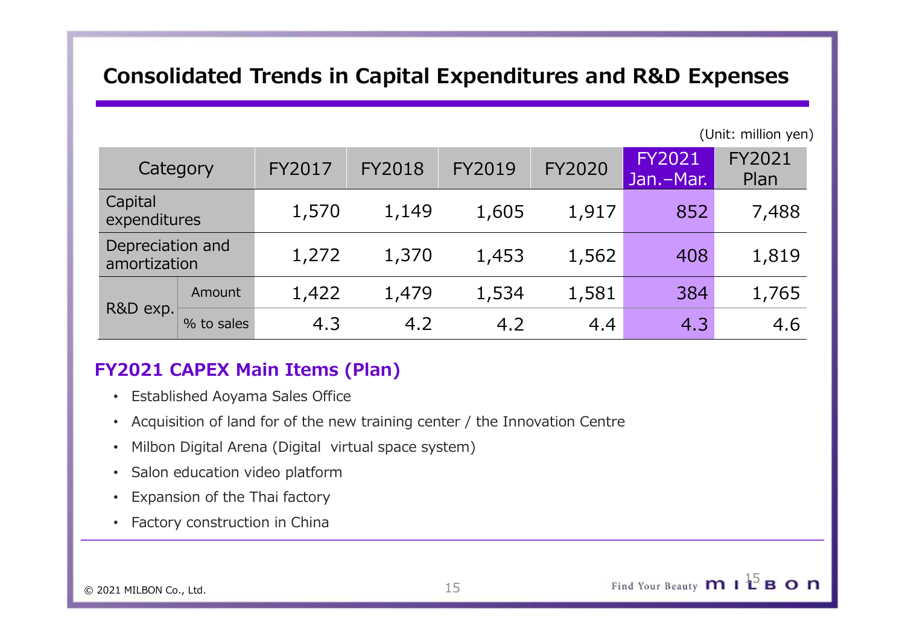# Consolidated Trends in Capital Expenditures and R&D Expenses

|                         |                  | <b>Consolidated Trends in Capital Expenditures and R&amp;D Expenses</b> |               |        |               |                            |                     |
|-------------------------|------------------|-------------------------------------------------------------------------|---------------|--------|---------------|----------------------------|---------------------|
|                         |                  |                                                                         |               |        |               |                            |                     |
|                         |                  |                                                                         |               |        |               |                            |                     |
|                         |                  |                                                                         |               |        |               |                            |                     |
|                         |                  |                                                                         |               |        |               |                            | (Unit: million yen) |
|                         | Category         | <b>FY2017</b>                                                           | <b>FY2018</b> | FY2019 | <b>FY2020</b> | <b>FY2021</b><br>Jan.-Mar. | FY2021<br>Plan      |
| Capital<br>expenditures |                  | 1,570                                                                   | 1,149         | 1,605  | 1,917         | 852                        | 7,488               |
|                         | Depreciation and | 1,272                                                                   | 1,370         | 1,453  | 1,562         | 408                        | 1,819               |
| amortization            |                  |                                                                         |               |        |               | 384                        | 1,765               |
| R&D exp.                | Amount           | 1,422                                                                   | 1,479         | 1,534  | 1,581         |                            |                     |

# FY2021 CAPEX Main Items (Plan)

- Established Aoyama Sales Office
- Acquisition of land for of the new training center / the Innovation Centre
- Milbon Digital Arena (Digital virtual space system)
- Salon education video platform
- Expansion of the Thai factory
- Factory construction in China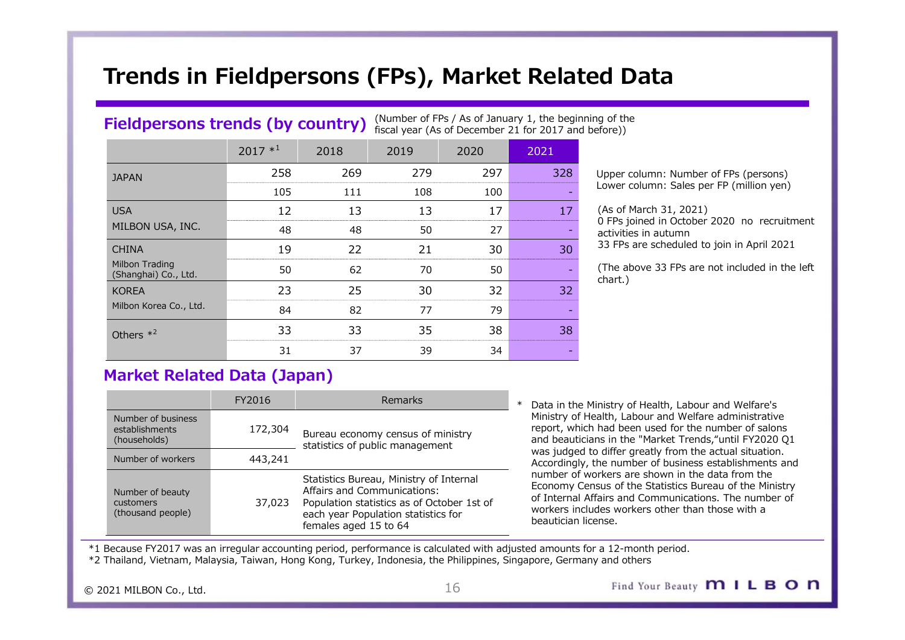# Trends in Fieldpersons (FPs), Market Related Data

## Fieldpersons trends (by country) (Number of FPs / As of January 1, the beginning of the fiscal year (As of December 21 for 2017 and before))

|                                                      |                                         |                                                                      |         |                                                                                                                |        | Trends in Fieldpersons (FPs), Market Related Data                                                                                                                       |
|------------------------------------------------------|-----------------------------------------|----------------------------------------------------------------------|---------|----------------------------------------------------------------------------------------------------------------|--------|-------------------------------------------------------------------------------------------------------------------------------------------------------------------------|
|                                                      |                                         |                                                                      |         |                                                                                                                |        |                                                                                                                                                                         |
|                                                      | <b>Fieldpersons trends (by country)</b> |                                                                      |         | (Number of FPs / As of January 1, the beginning of the<br>fiscal year (As of December 21 for 2017 and before)) |        |                                                                                                                                                                         |
|                                                      | $2017 *1$                               | 2018                                                                 | 2019    | 2020                                                                                                           | 2021   |                                                                                                                                                                         |
| <b>JAPAN</b>                                         | 258                                     | 269                                                                  | 279     | 297                                                                                                            | 328    | Upper column: Number of FPs (persons)                                                                                                                                   |
|                                                      | 105                                     | 111                                                                  | 108     | 100                                                                                                            |        | Lower column: Sales per FP (million yen)                                                                                                                                |
|                                                      | 12                                      | 13                                                                   | 13      | 17                                                                                                             | 17     | (As of March 31, 2021)                                                                                                                                                  |
| MILBON USA, INC.                                     | 48                                      | 48                                                                   | 50      | 27                                                                                                             |        | 0 FPs joined in October 2020 no recruitment<br>activities in autumn                                                                                                     |
| <b>CHINA</b>                                         | 19                                      | 22                                                                   | 21      | 30                                                                                                             | 30     | 33 FPs are scheduled to join in April 2021                                                                                                                              |
| Milbon Trading<br>(Shanghai) Co., Ltd.               | 50                                      | 62                                                                   | 70      | 50                                                                                                             |        | (The above 33 FPs are not included in the left<br>chart.)                                                                                                               |
| <b>KOREA</b>                                         | 23                                      | 25                                                                   | 30      | 32                                                                                                             | 32     |                                                                                                                                                                         |
| Milbon Korea Co., Ltd.                               | 84                                      | 82                                                                   | 77      | 79                                                                                                             |        |                                                                                                                                                                         |
| Others $*^2$                                         | 33                                      | 33                                                                   | 35      | 38                                                                                                             | 38     |                                                                                                                                                                         |
|                                                      | 31                                      | 37                                                                   | 39      | 34                                                                                                             |        |                                                                                                                                                                         |
|                                                      | <b>Market Related Data (Japan)</b>      |                                                                      |         |                                                                                                                |        |                                                                                                                                                                         |
|                                                      | FY2016                                  |                                                                      | Remarks |                                                                                                                | $\ast$ | Data in the Ministry of Health, Labour and Welfare's                                                                                                                    |
| Number of business<br>establishments<br>(households) | 172,304                                 | Bureau economy census of ministry<br>statistics of public management |         |                                                                                                                |        | Ministry of Health, Labour and Welfare administrative<br>report, which had been used for the number of salons<br>and beauticians in the "Market Trends,"until FY2020 Q1 |
| Number of workers                                    | 443 741                                 |                                                                      |         |                                                                                                                |        | was judged to differ greatly from the actual situation.                                                                                                                 |

(As of March 31, 2021) **d Data**<br>
g of the<br>
fore)<br>
Upper column: Number of FPs (persons)<br>
Lower column: Sales per FP (million yen)<br>
(As of March 31, 2021)<br>
of Ps joined in October 2020 no recruitment<br>
activities in autumn<br>
33 FPs are scheduled to activities in autumn 33 FPs are scheduled to join in April 2021

|                                                      | FY2016  | <b>Remarks</b>                                                                                                                                                                       | Data in the Ministry                                                                                         |
|------------------------------------------------------|---------|--------------------------------------------------------------------------------------------------------------------------------------------------------------------------------------|--------------------------------------------------------------------------------------------------------------|
| Number of business<br>establishments<br>(households) | 172,304 | Bureau economy census of ministry<br>statistics of public management                                                                                                                 | Ministry of Health,<br>report, which had b<br>and beauticians in t                                           |
| Number of workers                                    | 443,241 |                                                                                                                                                                                      | was judged to diffe<br>Accordingly, the nu                                                                   |
| Number of beauty<br>customers<br>(thousand people)   | 37,023  | Statistics Bureau, Ministry of Internal<br>Affairs and Communications:<br>Population statistics as of October 1st of<br>each year Population statistics for<br>females aged 15 to 64 | number of workers<br>Economy Census of<br>of Internal Affairs a<br>workers includes w<br>beautician license. |

statistics of public management<br>was judged to differ greatly from the actual situation. workers includes workers other than those with a **y** 1, the beginning of the<br>
for 2017 and before)<br>
2021<br>
2021<br>
2021<br>
2021<br>
2021<br>
2021<br>
2021<br>
2021<br>
2021<br>
2021<br>
2021<br>
2021<br>
2021<br>
2021<br>
2021<br>
2021<br>
2021<br>
2021<br>
2021<br>
2021<br>
303 FPs are scheduled to join in April 2021<br>
2021<br> Ministry of Health, Labour and Welfare administrative report, which had been used for the number of salons and beauticians in the "Market Trends,"until FY2020 Q1 Accordingly, the number of business establishments and number of workers are shown in the data from the Lower column: Sales per PP (million yen)<br>
(As of March 31, 2021)<br>
(As of March 31, 2021)<br>
33 FPs are scheduled to join in April 2021<br>
...<br>
(The above 33 FPs are not included in the left<br>
chart.)<br>
33<br>
...<br>
23<br>
...<br>
Data in Economy Census of the Statistics Bureau of the Ministry of Internal Affairs and Communications. The number of workers includes workers other than those with a beautician license.

\*1 Because FY2017 was an irregular accounting period, performance is calculated with adjusted amounts for a 12-month period.

\*2 Thailand, Vietnam, Malaysia, Taiwan, Hong Kong, Turkey, Indonesia, the Philippines, Singapore, Germany and others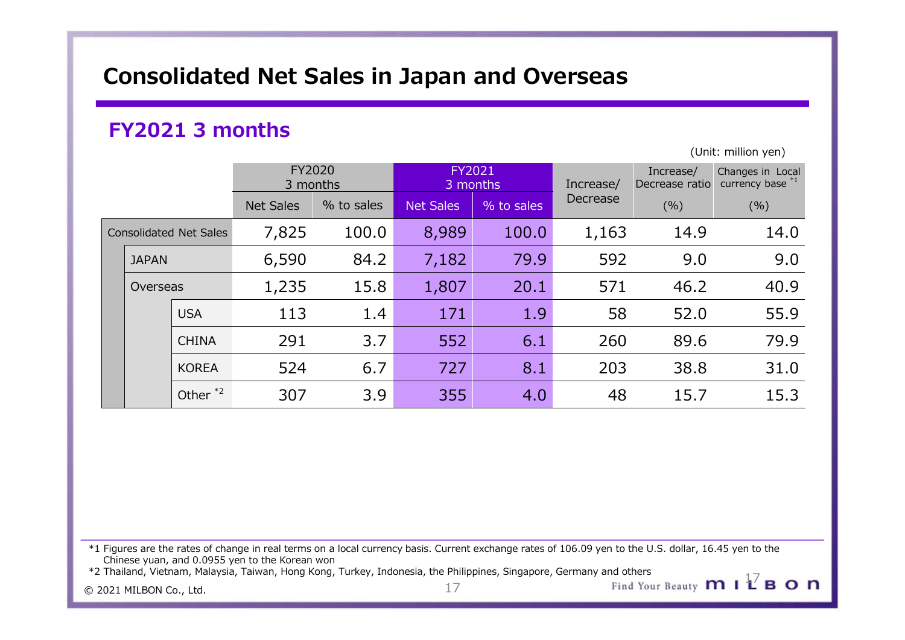# Consolidated Net Sales in Japan and Overseas

# FY2021 3 months

|                               |                     |                    |            |                    |            | <b>Consolidated Net Sales in Japan and Overseas</b> |           |                                                     |
|-------------------------------|---------------------|--------------------|------------|--------------------|------------|-----------------------------------------------------|-----------|-----------------------------------------------------|
|                               |                     |                    |            |                    |            |                                                     |           |                                                     |
| FY2021 3 months               |                     |                    |            |                    |            |                                                     |           | (Unit: million yen)                                 |
|                               |                     | FY2020<br>3 months |            | FY2021<br>3 months |            | Increase/                                           | Increase/ | Changes in Local<br>Decrease ratio currency base *1 |
|                               |                     | <b>Net Sales</b>   | % to sales | <b>Net Sales</b>   | % to sales | Decrease                                            | (% )      | (% )                                                |
| <b>Consolidated Net Sales</b> |                     | 7,825              | 100.0      | 8,989              | 100.0      | 1,163                                               | 14.9      | 14.0                                                |
| <b>JAPAN</b>                  |                     | 6,590              | 84.2       | 7,182              | 79.9       | 592                                                 | 9.0       | 9.0                                                 |
| Overseas                      |                     | 1,235              | 15.8       | 1,807              | 20.1       | 571                                                 | 46.2      | 40.9                                                |
|                               | <b>USA</b>          | 113                | 1.4        | 171                | 1.9        | 58                                                  | 52.0      | 55.9                                                |
|                               | <b>CHINA</b>        | 291                | 3.7        | 552                | 6.1        | 260                                                 | 89.6      | 79.9                                                |
|                               | <b>KOREA</b>        | 524                | 6.7        | 727                | 8.1        | 203                                                 | 38.8      | $31.0$                                              |
|                               | Other <sup>*2</sup> | 307                | 3.9        | 355                | 4.0        | 48                                                  | 15.7      | 15.3                                                |

\*1 Figures are the rates of change in real terms on a local currency basis. Current exchange rates of 106.09 yen to the U.S. dollar, 16.45 yen to the Chinese yuan, and 0.0955 yen to the Korean won

 $\frac{17}{2}$  2021 MILBON Co., Ltd. 2021 MILBON Co., Ltd. \*2 Thailand, Vietnam, Malaysia, Taiwan, Hong Kong, Turkey, Indonesia, the Philippines, Singapore, Germany and others 17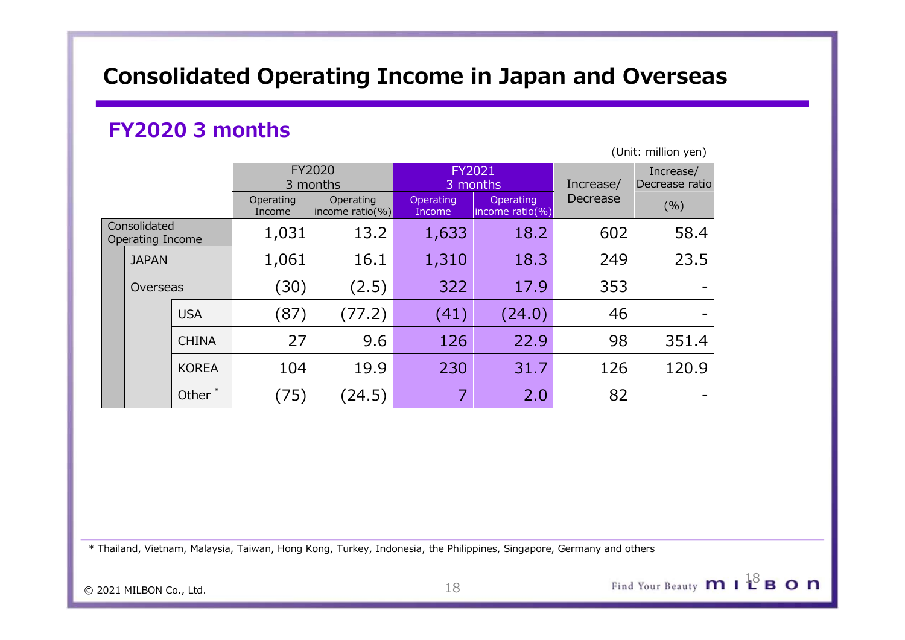# Consolidated Operating Income in Japan and Overseas

# FY2020 3 months

|                                  |                    |                        | <b>Consolidated Operating Income in Japan and Overseas</b> |                     |                              |           |                                                    |
|----------------------------------|--------------------|------------------------|------------------------------------------------------------|---------------------|------------------------------|-----------|----------------------------------------------------|
|                                  |                    | <b>FY2020 3 months</b> |                                                            |                     |                              |           |                                                    |
|                                  |                    |                        | FY2020<br>3 months                                         | FY2021              | 3 months                     | Increase/ | (Unit: million yen)<br>Increase/<br>Decrease ratio |
|                                  |                    | Operating<br>Income    | Operating<br>income ratio(%)                               | Operating<br>Income | Operating<br>income ratio(%) | Decrease  | (% )                                               |
| Consolidated<br>Operating Income |                    | 1,031                  | 13.2                                                       | 1,633               | 18.2                         | 602       | 58.4                                               |
| <b>JAPAN</b>                     |                    | 1,061                  | 16.1                                                       | 1,310               | 18.3                         | 249       | 23.5                                               |
| Overseas                         |                    | (30)                   | (2.5)                                                      | 322                 | 17.9                         | 353       |                                                    |
|                                  | <b>USA</b>         | (87)                   | (77.2)                                                     | (41)                | (24.0)                       | 46        |                                                    |
|                                  | <b>CHINA</b>       | 27                     | 9.6                                                        | 126                 | 22.9                         | 98        | 351.4                                              |
|                                  | <b>KOREA</b>       | 104                    | 19.9                                                       | 230                 | 31.7                         | 126       | 120.9                                              |
|                                  | Other <sup>*</sup> | (75)                   | (24.5)                                                     | $\overline{7}$      | 2.0                          | 82        |                                                    |

\* Thailand, Vietnam, Malaysia, Taiwan, Hong Kong, Turkey, Indonesia, the Philippines, Singapore, Germany and others

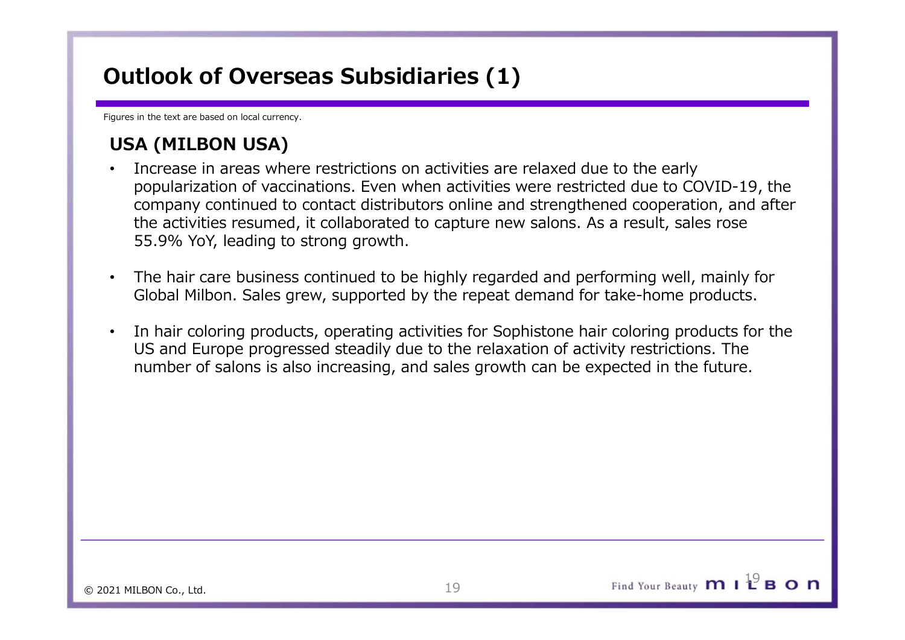# Outlook of Overseas Subsidiaries (1)

Figures in the text are based on local currency.

- **Dutlook of Overseas Subsidiaries (1)**<br> **USA (MILBON USA)**<br>
Increase in areas where restrictions on activities are relaxed du<br>
popularization of vaccinations. Even when activities were restrictions on activities were restr • Increase in areas where restrictions on activities are relaxed due to the early popularization of vaccinations. Even when activities were restricted due to COVID-19, the company continued to contact distributors online and strengthened cooperation, and after the activities resumed, it collaborated to capture new salons. As a result, sales rose 55.9% YoY, leading to strong growth. **Outlook of Overseas Subsidiaries (1)**<br> **USA (MILBON USA)**<br>
• Increase in areas where restrictions on activities are relaxed due to the early<br>
popularization of vaccinations. Even when activities were restricted due to COV
- The hair care business continued to be highly regarded and performing well, mainly for Global Milbon. Sales grew, supported by the repeat demand for take-home products.
- US and Europe progressed steadily due to the relaxation of activity restrictions. The number of salons is also increasing, and sales growth can be expected in the future.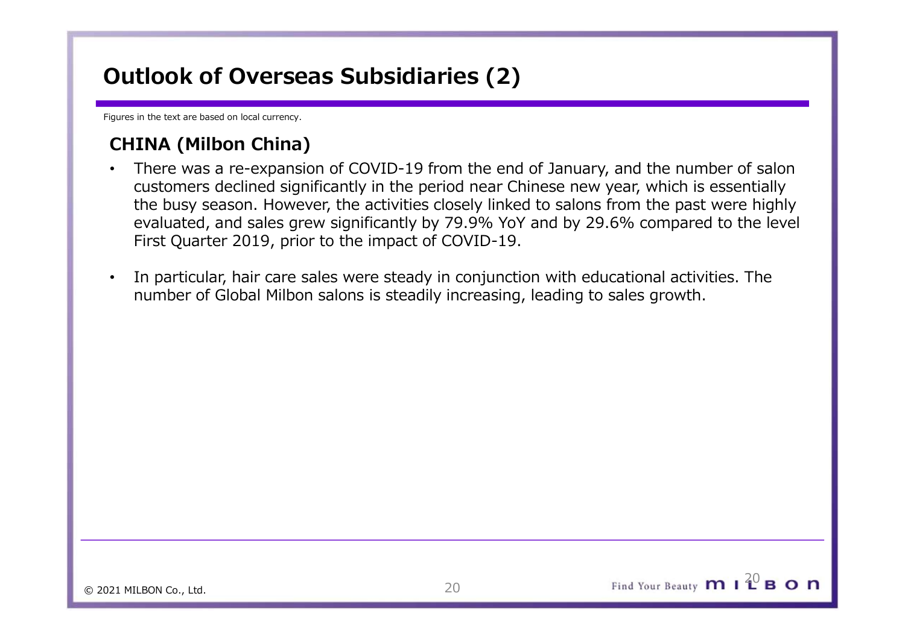# Outlook of Overseas Subsidiaries (2)

Figures in the text are based on local currency.

- **Dutlook of Overseas Subsidiaries (2)**<br> **CHINA (Milbon China)**<br>
There was a re-expansion of COVID-19 from the end of January<br>
customers declined significantly in the period near Chinese new<br>
the busy season. However, the a • There was a re-expansion of COVID-19 from the end of January, and the number of salon customers declined significantly in the period near Chinese new year, which is essentially the busy season. However, the activities closely linked to salons from the past were highly evaluated, and sales grew significantly by 79.9% YoY and by 29.6% compared to the level First Quarter 2019, prior to the impact of COVID-19. **thook of Overseas Subsidiaries (2)**<br>
In the text are based on local currency.<br> **INA (Milbon China)**<br>
There was a re-expansion of COVID-19 from the end of January, and the num<br>
customers declined significantly in the perio
- In particular, hair care sales were steady in conjunction with educational activities. The

Find Your Beauty  $\mathbf{m}$  |  $2^0$  B O  $\mathbf{n}$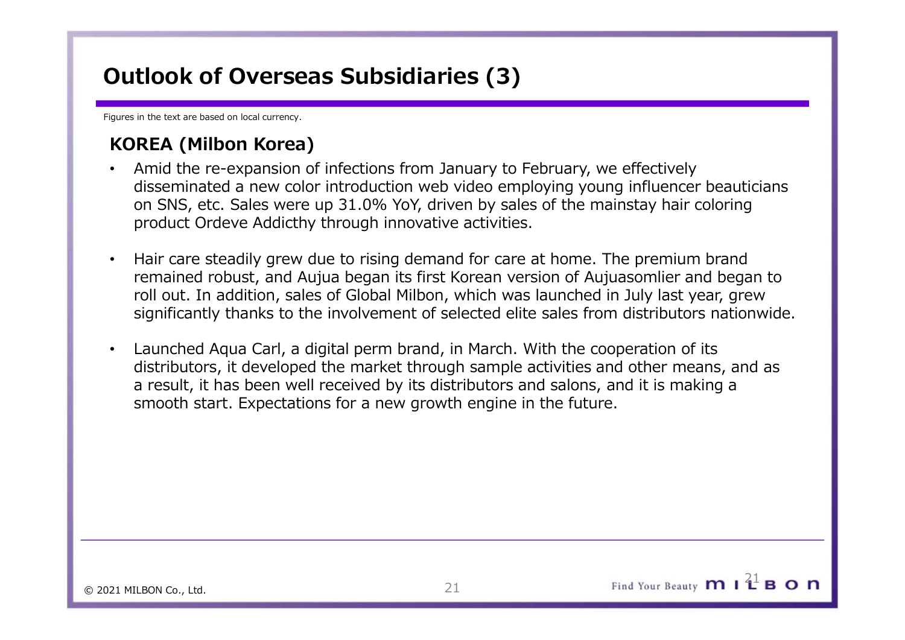# Outlook of Overseas Subsidiaries (3)

Figures in the text are based on local currency.

- **Dutlook of Overseas Subsidiaries (3)**<br>
We are to the text are based on local currency.<br> **KOREA (Milbon Korea)**<br>
 Amid the re-expansion of infections from January to February, we disseminated a new color introduction web • Amid the re-expansion of infections from January to February, we effectively disseminated a new color introduction web video employing young influencer beauticians on SNS, etc. Sales were up 31.0% YoY, driven by sales of the mainstay hair coloring **Dutlook of Overseas Subsidiaries (3)**<br> **EXOREA (Milbon Korea)**<br>
• Amid the re-expansion of infections from January to February, we effectively<br>
disseminated a new color introduction web video employing young influencer be
- **thook of Overseas Subsidiaries (3)**<br> **REA (Milbon Korea)**<br> **REA (Milbon Korea)**<br> **Amid the re-expansion of infections from January to February, we effectively**<br>
disseminated a new color introduction web video employing yo roll out. In addition, sales of Global Milbon, which was launched in July last year, grew significantly thanks to the involvement of selected elite sales from distributors nationwide.
- Launched Aqua Carl, a digital perm brand, in March. With the cooperation of its distributors, it developed the market through sample activities and other means, and as a result, it has been well received by its distributors and salons, and it is making a smooth start. Expectations for a new growth engine in the future.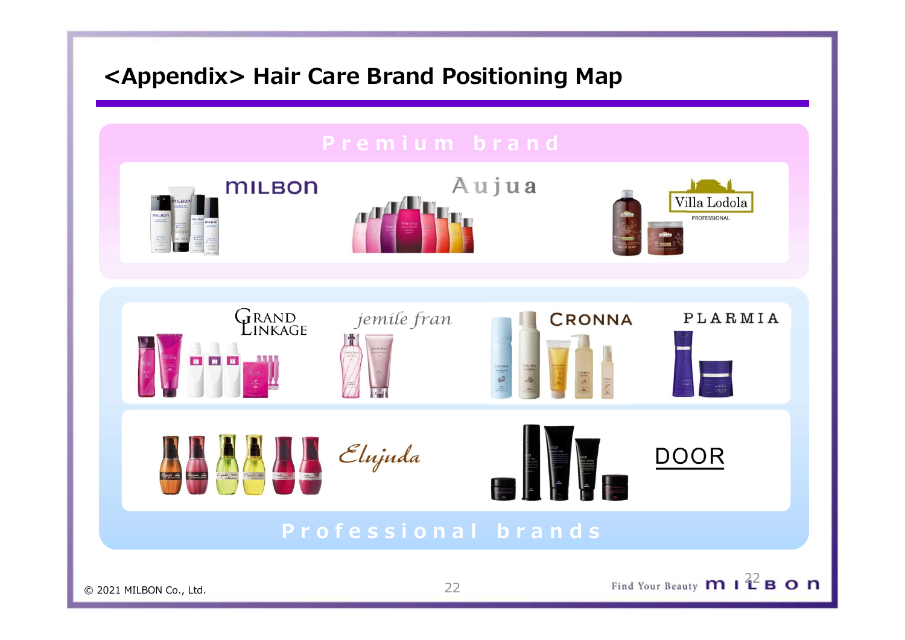# <Appendix> Hair Care Brand Positioning Map